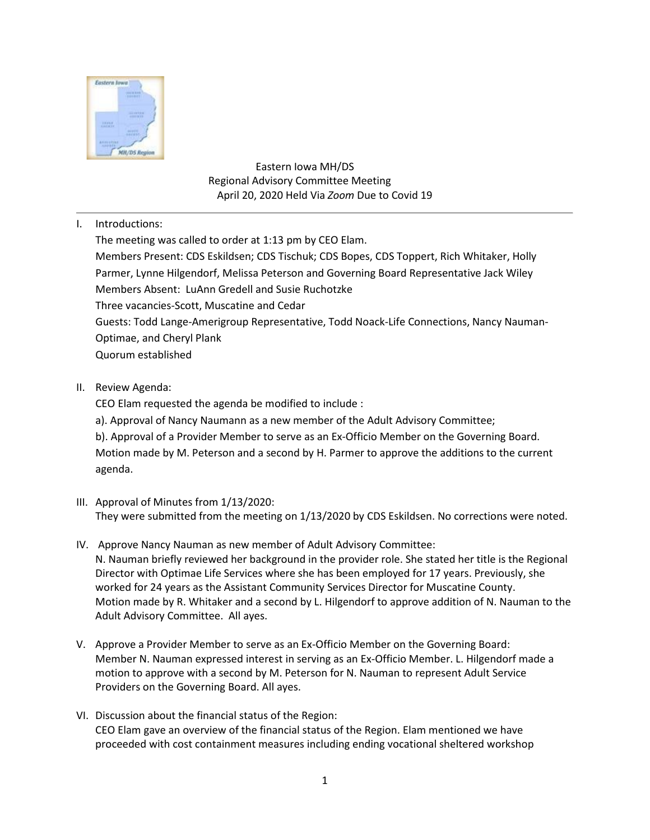

 Eastern Iowa MH/DS Regional Advisory Committee Meeting April 20, 2020 Held Via *Zoom* Due to Covid 19

I. Introductions:

The meeting was called to order at 1:13 pm by CEO Elam. Members Present: CDS Eskildsen; CDS Tischuk; CDS Bopes, CDS Toppert, Rich Whitaker, Holly Parmer, Lynne Hilgendorf, Melissa Peterson and Governing Board Representative Jack Wiley Members Absent: LuAnn Gredell and Susie Ruchotzke Three vacancies-Scott, Muscatine and Cedar Guests: Todd Lange-Amerigroup Representative, Todd Noack-Life Connections, Nancy Nauman-Optimae, and Cheryl Plank Quorum established

II. Review Agenda:

CEO Elam requested the agenda be modified to include :

a). Approval of Nancy Naumann as a new member of the Adult Advisory Committee;

b). Approval of a Provider Member to serve as an Ex-Officio Member on the Governing Board. Motion made by M. Peterson and a second by H. Parmer to approve the additions to the current agenda.

- III. Approval of Minutes from 1/13/2020: They were submitted from the meeting on 1/13/2020 by CDS Eskildsen. No corrections were noted.
- IV. Approve Nancy Nauman as new member of Adult Advisory Committee: N. Nauman briefly reviewed her background in the provider role. She stated her title is the Regional Director with Optimae Life Services where she has been employed for 17 years. Previously, she worked for 24 years as the Assistant Community Services Director for Muscatine County. Motion made by R. Whitaker and a second by L. Hilgendorf to approve addition of N. Nauman to the Adult Advisory Committee. All ayes.
- V. Approve a Provider Member to serve as an Ex-Officio Member on the Governing Board: Member N. Nauman expressed interest in serving as an Ex-Officio Member. L. Hilgendorf made a motion to approve with a second by M. Peterson for N. Nauman to represent Adult Service Providers on the Governing Board. All ayes.
- VI. Discussion about the financial status of the Region: CEO Elam gave an overview of the financial status of the Region. Elam mentioned we have proceeded with cost containment measures including ending vocational sheltered workshop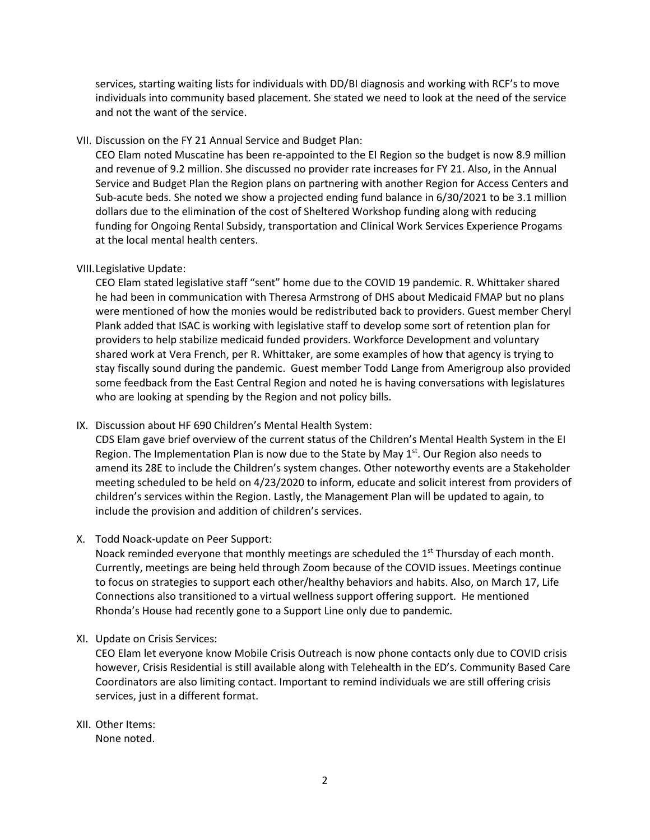services, starting waiting lists for individuals with DD/BI diagnosis and working with RCF's to move individuals into community based placement. She stated we need to look at the need of the service and not the want of the service.

VII. Discussion on the FY 21 Annual Service and Budget Plan:

CEO Elam noted Muscatine has been re-appointed to the EI Region so the budget is now 8.9 million and revenue of 9.2 million. She discussed no provider rate increases for FY 21. Also, in the Annual Service and Budget Plan the Region plans on partnering with another Region for Access Centers and Sub-acute beds. She noted we show a projected ending fund balance in 6/30/2021 to be 3.1 million dollars due to the elimination of the cost of Sheltered Workshop funding along with reducing funding for Ongoing Rental Subsidy, transportation and Clinical Work Services Experience Progams at the local mental health centers.

## VIII.Legislative Update:

CEO Elam stated legislative staff "sent" home due to the COVID 19 pandemic. R. Whittaker shared he had been in communication with Theresa Armstrong of DHS about Medicaid FMAP but no plans were mentioned of how the monies would be redistributed back to providers. Guest member Cheryl Plank added that ISAC is working with legislative staff to develop some sort of retention plan for providers to help stabilize medicaid funded providers. Workforce Development and voluntary shared work at Vera French, per R. Whittaker, are some examples of how that agency is trying to stay fiscally sound during the pandemic. Guest member Todd Lange from Amerigroup also provided some feedback from the East Central Region and noted he is having conversations with legislatures who are looking at spending by the Region and not policy bills.

IX. Discussion about HF 690 Children's Mental Health System:

CDS Elam gave brief overview of the current status of the Children's Mental Health System in the EI Region. The Implementation Plan is now due to the State by May  $1<sup>st</sup>$ . Our Region also needs to amend its 28E to include the Children's system changes. Other noteworthy events are a Stakeholder meeting scheduled to be held on 4/23/2020 to inform, educate and solicit interest from providers of children's services within the Region. Lastly, the Management Plan will be updated to again, to include the provision and addition of children's services.

X. Todd Noack-update on Peer Support:

Noack reminded everyone that monthly meetings are scheduled the  $1<sup>st</sup>$  Thursday of each month. Currently, meetings are being held through Zoom because of the COVID issues. Meetings continue to focus on strategies to support each other/healthy behaviors and habits. Also, on March 17, Life Connections also transitioned to a virtual wellness support offering support. He mentioned Rhonda's House had recently gone to a Support Line only due to pandemic.

XI. Update on Crisis Services:

CEO Elam let everyone know Mobile Crisis Outreach is now phone contacts only due to COVID crisis however, Crisis Residential is still available along with Telehealth in the ED's. Community Based Care Coordinators are also limiting contact. Important to remind individuals we are still offering crisis services, just in a different format.

XII. Other Items: None noted.